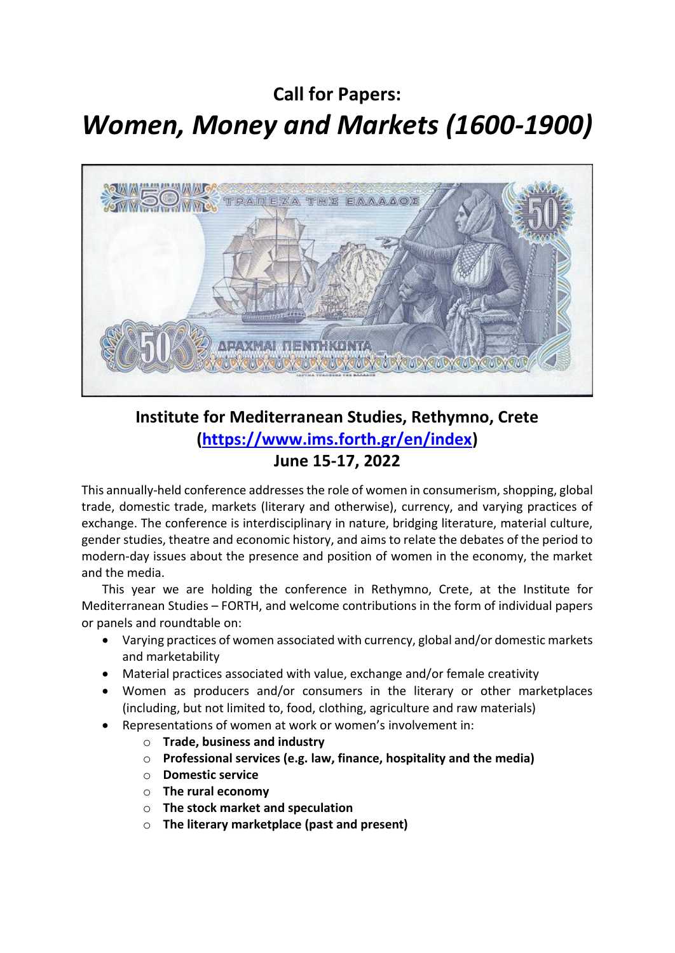## **Call for Papers:**  *Women, Money and Markets (1600-1900)*



## **Institute for Mediterranean Studies, Rethymno, Crete [\(https://www.ims.forth.gr/en/index\)](https://www.ims.forth.gr/en/index) June 15-17, 2022**

This annually-held conference addresses the role of women in consumerism, shopping, global trade, domestic trade, markets (literary and otherwise), currency, and varying practices of exchange. The conference is interdisciplinary in nature, bridging literature, material culture, gender studies, theatre and economic history, and aims to relate the debates of the period to modern-day issues about the presence and position of women in the economy, the market and the media.

This year we are holding the conference in Rethymno, Crete, at the Institute for Mediterranean Studies – FORTH, and welcome contributions in the form of individual papers or panels and roundtable on:

- Varying practices of women associated with currency, global and/or domestic markets and marketability
- Material practices associated with value, exchange and/or female creativity
- Women as producers and/or consumers in the literary or other marketplaces (including, but not limited to, food, clothing, agriculture and raw materials)
- Representations of women at work or women's involvement in:
	- o **Trade, business and industry**
	- o **Professional services (e.g. law, finance, hospitality and the media)**
	- o **Domestic service**
	- o **The rural economy**
	- o **The stock market and speculation**
	- o **The literary marketplace (past and present)**